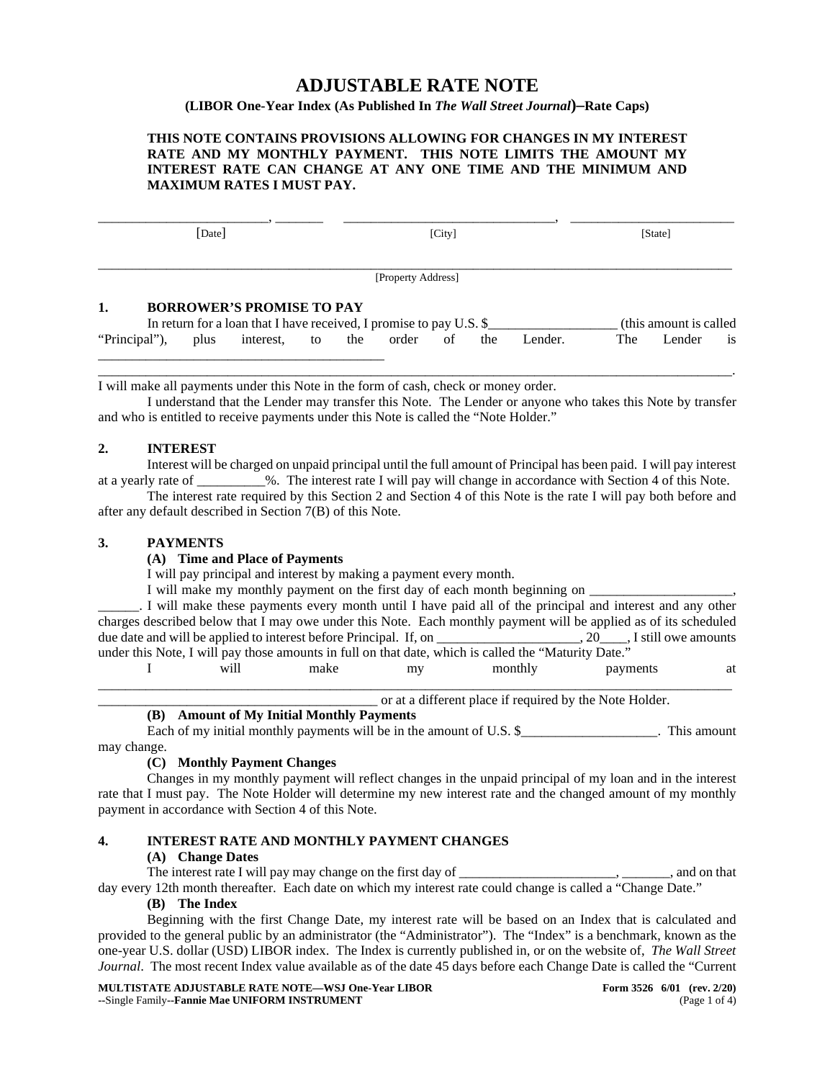# **ADJUSTABLE RATE NOTE**

## **(LIBOR One-Year Index (As Published In** *The Wall Street Journal***)–Rate Caps)**

#### **THIS NOTE CONTAINS PROVISIONS ALLOWING FOR CHANGES IN MY INTEREST RATE AND MY MONTHLY PAYMENT. THIS NOTE LIMITS THE AMOUNT MY INTEREST RATE CAN CHANGE AT ANY ONE TIME AND THE MINIMUM AND MAXIMUM RATES I MUST PAY.**

| [Date]                                                                                                  | [City]                       |         | [State]                    |
|---------------------------------------------------------------------------------------------------------|------------------------------|---------|----------------------------|
|                                                                                                         | [Property Address]           |         |                            |
| <b>BORROWER'S PROMISE TO PAY</b><br>In return for a loan that I have received, I promise to pay U.S. \$ |                              |         | (this amount is called     |
| "Principal"),<br>interest,<br>plus                                                                      | order<br>to the<br>of<br>the | Lender. | is<br>Lender<br><b>The</b> |
|                                                                                                         |                              |         |                            |

I will make all payments under this Note in the form of cash, check or money order.

I understand that the Lender may transfer this Note. The Lender or anyone who takes this Note by transfer and who is entitled to receive payments under this Note is called the "Note Holder."

## **2. INTEREST**

Interest will be charged on unpaid principal until the full amount of Principal has been paid. I will pay interest at a yearly rate of \_\_\_\_\_\_\_\_\_\_%. The interest rate I will pay will change in accordance with Section 4 of this Note.

The interest rate required by this Section 2 and Section 4 of this Note is the rate I will pay both before and after any default described in Section 7(B) of this Note.

## **3. PAYMENTS**

## **(A) Time and Place of Payments**

I will pay principal and interest by making a payment every month.

I will make my monthly payment on the first day of each month beginning on

\_\_\_\_\_\_. I will make these payments every month until I have paid all of the principal and interest and any other charges described below that I may owe under this Note. Each monthly payment will be applied as of its scheduled due date and will be applied to interest before Principal. If, on \_\_\_\_\_\_\_\_\_\_\_\_\_\_\_\_\_\_\_\_\_, 20\_\_\_\_, I still owe amounts under this Note, I will pay those amounts in full on that date, which is called the "Maturity Date." I will make my monthly payments at

\_\_\_\_\_\_\_\_\_\_\_\_\_\_\_\_\_\_\_\_\_\_\_\_\_\_\_\_\_\_\_\_\_\_\_\_\_\_\_\_\_\_\_\_\_\_\_\_\_\_\_\_\_\_\_\_\_\_\_\_\_\_\_\_\_\_\_\_\_\_\_\_\_\_\_\_\_\_\_\_\_\_\_\_\_\_\_\_\_\_\_\_\_

\_\_\_\_\_\_\_\_\_\_\_\_\_\_\_\_\_\_\_\_\_\_\_\_\_\_\_\_\_\_\_\_\_\_\_\_\_\_\_\_\_ or at a different place if required by the Note Holder.

**(B) Amount of My Initial Monthly Payments**

Each of my initial monthly payments will be in the amount of U.S. \$ This amount .

may change.

## **(C) Monthly Payment Changes**

Changes in my monthly payment will reflect changes in the unpaid principal of my loan and in the interest rate that I must pay. The Note Holder will determine my new interest rate and the changed amount of my monthly payment in accordance with Section 4 of this Note.

## **4. INTEREST RATE AND MONTHLY PAYMENT CHANGES**

#### **(A) Change Dates**

The interest rate I will pay may change on the first day of \_\_\_\_\_\_\_\_\_\_\_\_\_\_\_\_\_\_\_\_\_\_\_\_, \_\_\_\_\_\_\_\_, and on that day every 12th month thereafter. Each date on which my interest rate could change is called a "Change Date."

#### **(B) The Index**

Beginning with the first Change Date, my interest rate will be based on an Index that is calculated and provided to the general public by an administrator (the "Administrator"). The "Index" is a benchmark, known as the one-year U.S. dollar (USD) LIBOR index. The Index is currently published in, or on the website of, *The Wall Street Journal*. The most recent Index value available as of the date 45 days before each Change Date is called the "Current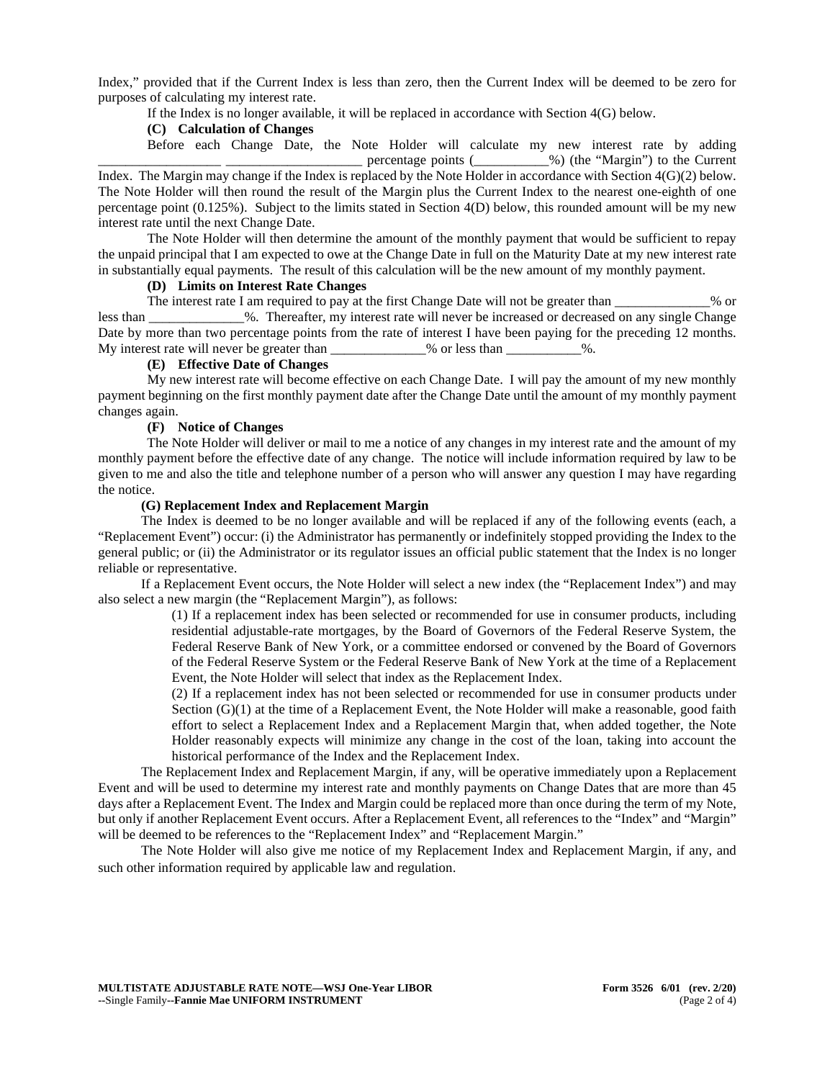Index," provided that if the Current Index is less than zero, then the Current Index will be deemed to be zero for purposes of calculating my interest rate.

If the Index is no longer available, it will be replaced in accordance with Section 4(G) below.

#### **(C) Calculation of Changes**

Before each Change Date, the Note Holder will calculate my new interest rate by adding \_\_\_\_\_\_\_\_\_\_\_\_\_\_\_\_\_\_ \_\_\_\_\_\_\_\_\_\_\_\_\_\_\_\_\_\_\_\_ percentage points (\_\_\_\_\_\_\_\_\_\_\_%) (the "Margin") to the Current Index. The Margin may change if the Index is replaced by the Note Holder in accordance with Section 4(G)(2) below. The Note Holder will then round the result of the Margin plus the Current Index to the nearest one-eighth of one percentage point (0.125%). Subject to the limits stated in Section 4(D) below, this rounded amount will be my new

interest rate until the next Change Date. The Note Holder will then determine the amount of the monthly payment that would be sufficient to repay the unpaid principal that I am expected to owe at the Change Date in full on the Maturity Date at my new interest rate in substantially equal payments. The result of this calculation will be the new amount of my monthly payment.

#### **(D) Limits on Interest Rate Changes**

The interest rate I am required to pay at the first Change Date will not be greater than  $\%$  or less than  $\%$ . Thereafter, my interest rate will never be increased or decreased on any single Change Date by more than two percentage points from the rate of interest I have been paying for the preceding 12 months. My interest rate will never be greater than  $\%$  or less than  $\%$ .

#### **(E) Effective Date of Changes**

My new interest rate will become effective on each Change Date. I will pay the amount of my new monthly payment beginning on the first monthly payment date after the Change Date until the amount of my monthly payment changes again.

## **(F) Notice of Changes**

The Note Holder will deliver or mail to me a notice of any changes in my interest rate and the amount of my monthly payment before the effective date of any change. The notice will include information required by law to be given to me and also the title and telephone number of a person who will answer any question I may have regarding the notice.

#### **(G) Replacement Index and Replacement Margin**

The Index is deemed to be no longer available and will be replaced if any of the following events (each, a "Replacement Event") occur: (i) the Administrator has permanently or indefinitely stopped providing the Index to the general public; or (ii) the Administrator or its regulator issues an official public statement that the Index is no longer reliable or representative.

If a Replacement Event occurs, the Note Holder will select a new index (the "Replacement Index") and may also select a new margin (the "Replacement Margin"), as follows:

> (1) If a replacement index has been selected or recommended for use in consumer products, including residential adjustable-rate mortgages, by the Board of Governors of the Federal Reserve System, the Federal Reserve Bank of New York, or a committee endorsed or convened by the Board of Governors of the Federal Reserve System or the Federal Reserve Bank of New York at the time of a Replacement Event, the Note Holder will select that index as the Replacement Index.

> (2) If a replacement index has not been selected or recommended for use in consumer products under Section (G)(1) at the time of a Replacement Event, the Note Holder will make a reasonable, good faith effort to select a Replacement Index and a Replacement Margin that, when added together, the Note Holder reasonably expects will minimize any change in the cost of the loan, taking into account the historical performance of the Index and the Replacement Index.

The Replacement Index and Replacement Margin, if any, will be operative immediately upon a Replacement Event and will be used to determine my interest rate and monthly payments on Change Dates that are more than 45 days after a Replacement Event. The Index and Margin could be replaced more than once during the term of my Note, but only if another Replacement Event occurs. After a Replacement Event, all references to the "Index" and "Margin" will be deemed to be references to the "Replacement Index" and "Replacement Margin."

The Note Holder will also give me notice of my Replacement Index and Replacement Margin, if any, and such other information required by applicable law and regulation.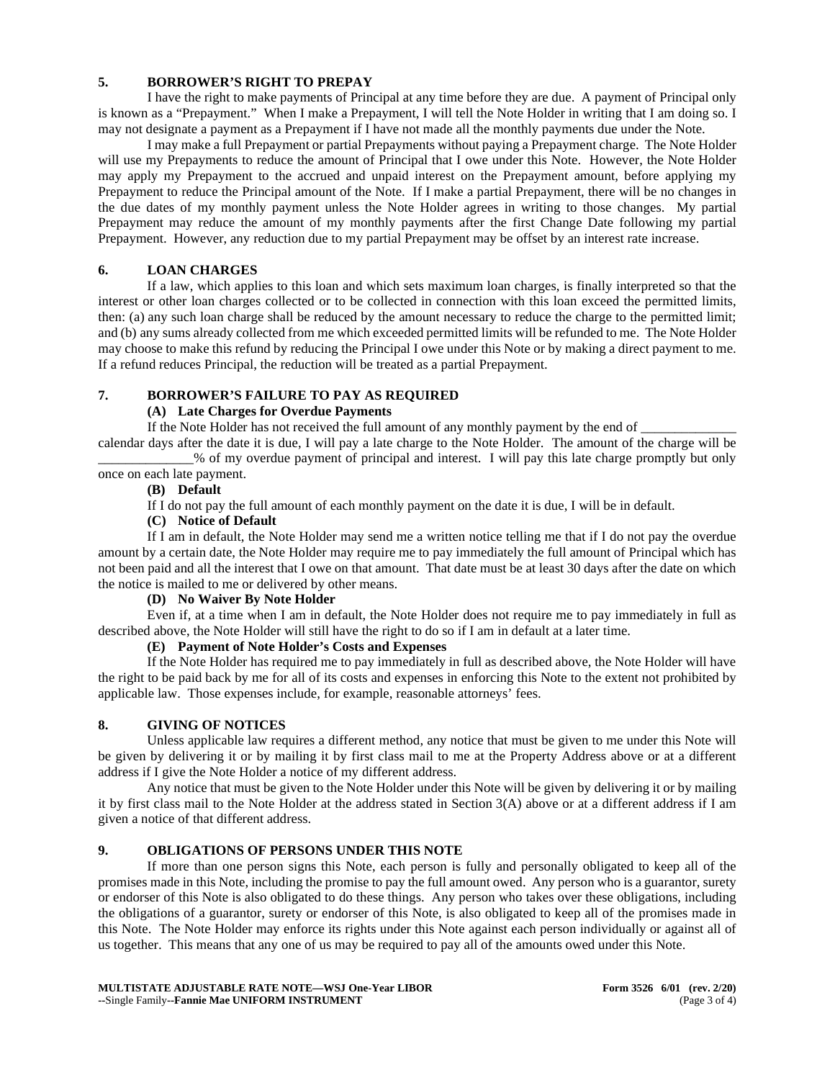## **5. BORROWER'S RIGHT TO PREPAY**

I have the right to make payments of Principal at any time before they are due. A payment of Principal only is known as a "Prepayment." When I make a Prepayment, I will tell the Note Holder in writing that I am doing so. I may not designate a payment as a Prepayment if I have not made all the monthly payments due under the Note.

I may make a full Prepayment or partial Prepayments without paying a Prepayment charge. The Note Holder will use my Prepayments to reduce the amount of Principal that I owe under this Note. However, the Note Holder may apply my Prepayment to the accrued and unpaid interest on the Prepayment amount, before applying my Prepayment to reduce the Principal amount of the Note. If I make a partial Prepayment, there will be no changes in the due dates of my monthly payment unless the Note Holder agrees in writing to those changes. My partial Prepayment may reduce the amount of my monthly payments after the first Change Date following my partial Prepayment. However, any reduction due to my partial Prepayment may be offset by an interest rate increase.

## **6. LOAN CHARGES**

If a law, which applies to this loan and which sets maximum loan charges, is finally interpreted so that the interest or other loan charges collected or to be collected in connection with this loan exceed the permitted limits, then: (a) any such loan charge shall be reduced by the amount necessary to reduce the charge to the permitted limit; and (b) any sums already collected from me which exceeded permitted limits will be refunded to me. The Note Holder may choose to make this refund by reducing the Principal I owe under this Note or by making a direct payment to me. If a refund reduces Principal, the reduction will be treated as a partial Prepayment.

## **7. BORROWER'S FAILURE TO PAY AS REQUIRED**

## **(A) Late Charges for Overdue Payments**

If the Note Holder has not received the full amount of any monthly payment by the end of \_ calendar days after the date it is due, I will pay a late charge to the Note Holder. The amount of the charge will be

\_\_\_\_\_\_\_\_\_\_\_\_\_\_% of my overdue payment of principal and interest. I will pay this late charge promptly but only once on each late payment.

#### **(B) Default**

If I do not pay the full amount of each monthly payment on the date it is due, I will be in default.

#### **(C) Notice of Default**

If I am in default, the Note Holder may send me a written notice telling me that if I do not pay the overdue amount by a certain date, the Note Holder may require me to pay immediately the full amount of Principal which has not been paid and all the interest that I owe on that amount. That date must be at least 30 days after the date on which the notice is mailed to me or delivered by other means.

## **(D) No Waiver By Note Holder**

Even if, at a time when I am in default, the Note Holder does not require me to pay immediately in full as described above, the Note Holder will still have the right to do so if I am in default at a later time.

# **(E) Payment of Note Holder's Costs and Expenses**

If the Note Holder has required me to pay immediately in full as described above, the Note Holder will have the right to be paid back by me for all of its costs and expenses in enforcing this Note to the extent not prohibited by applicable law. Those expenses include, for example, reasonable attorneys' fees.

## **8. GIVING OF NOTICES**

Unless applicable law requires a different method, any notice that must be given to me under this Note will be given by delivering it or by mailing it by first class mail to me at the Property Address above or at a different address if I give the Note Holder a notice of my different address.

Any notice that must be given to the Note Holder under this Note will be given by delivering it or by mailing it by first class mail to the Note Holder at the address stated in Section 3(A) above or at a different address if I am given a notice of that different address.

## **9. OBLIGATIONS OF PERSONS UNDER THIS NOTE**

If more than one person signs this Note, each person is fully and personally obligated to keep all of the promises made in this Note, including the promise to pay the full amount owed. Any person who is a guarantor, surety or endorser of this Note is also obligated to do these things. Any person who takes over these obligations, including the obligations of a guarantor, surety or endorser of this Note, is also obligated to keep all of the promises made in this Note. The Note Holder may enforce its rights under this Note against each person individually or against all of us together. This means that any one of us may be required to pay all of the amounts owed under this Note.